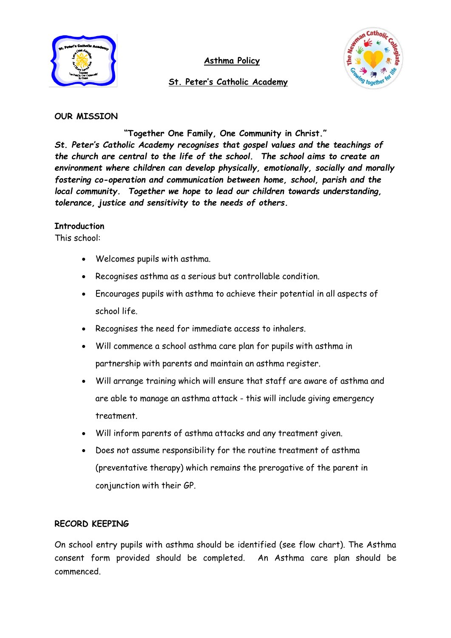

 **Asthma Policy**



# **St. Peter's Catholic Academy**

#### **OUR MISSION**

#### **"Together One Family, One Community in Christ."**

*St. Peter's Catholic Academy recognises that gospel values and the teachings of the church are central to the life of the school. The school aims to create an environment where children can develop physically, emotionally, socially and morally fostering co-operation and communication between home, school, parish and the local community. Together we hope to lead our children towards understanding, tolerance, justice and sensitivity to the needs of others.*

#### **Introduction**

This school:

- Welcomes pupils with asthma.
- Recognises asthma as a serious but controllable condition.
- Encourages pupils with asthma to achieve their potential in all aspects of school life.
- Recognises the need for immediate access to inhalers.
- Will commence a school asthma care plan for pupils with asthma in partnership with parents and maintain an asthma register.
- Will arrange training which will ensure that staff are aware of asthma and are able to manage an asthma attack - this will include giving emergency treatment.
- Will inform parents of asthma attacks and any treatment given.
- Does not assume responsibility for the routine treatment of asthma (preventative therapy) which remains the prerogative of the parent in conjunction with their GP.

#### **RECORD KEEPING**

On school entry pupils with asthma should be identified (see flow chart). The Asthma consent form provided should be completed. An Asthma care plan should be commenced.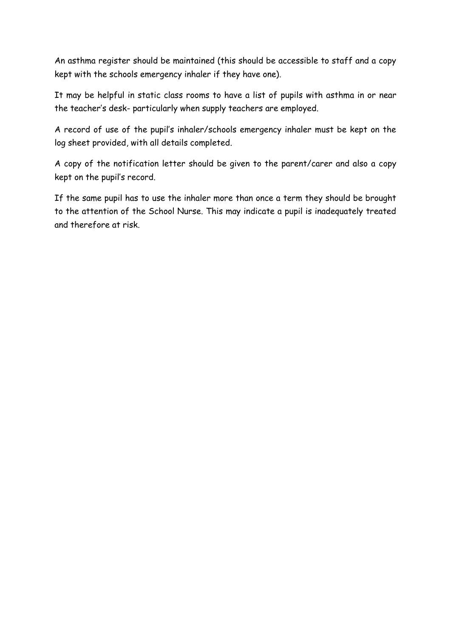An asthma register should be maintained (this should be accessible to staff and a copy kept with the schools emergency inhaler if they have one).

It may be helpful in static class rooms to have a list of pupils with asthma in or near the teacher's desk- particularly when supply teachers are employed.

A record of use of the pupil's inhaler/schools emergency inhaler must be kept on the log sheet provided, with all details completed.

A copy of the notification letter should be given to the parent/carer and also a copy kept on the pupil's record.

If the same pupil has to use the inhaler more than once a term they should be brought to the attention of the School Nurse. This may indicate a pupil is inadequately treated and therefore at risk.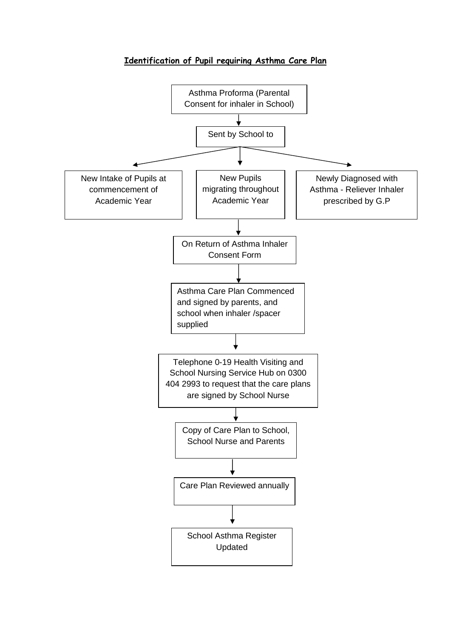## **Identification of Pupil requiring Asthma Care Plan**